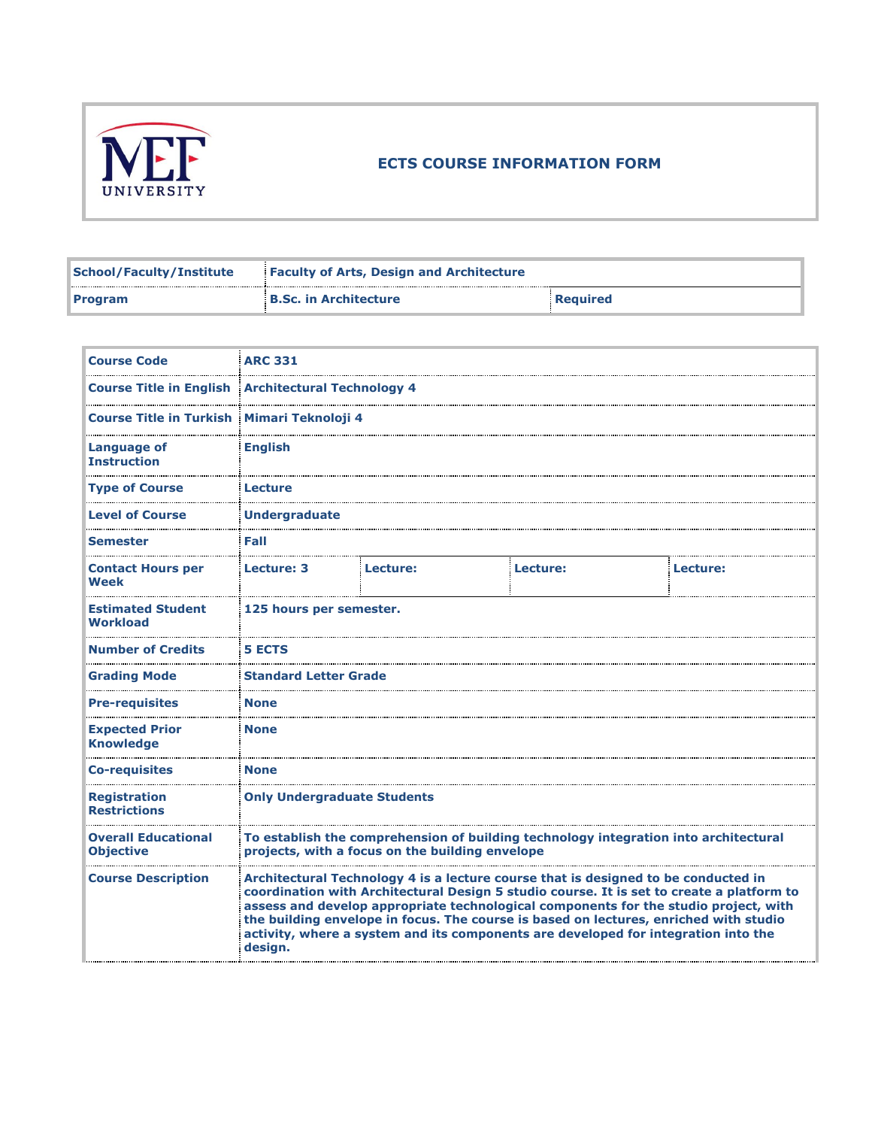

## **ECTS COURSE INFORMATION FORM**

| <b>School/Faculty/Institute</b> | <b>Faculty of Arts, Design and Architecture</b> |          |  |
|---------------------------------|-------------------------------------------------|----------|--|
| <b>Program</b>                  | <b>B.Sc. in Architecture</b>                    | Required |  |

| <b>Course Code</b>                                        | <b>ARC 331</b>                     |                                                 |                                                                                                                                                                                                                                                                                                                                                                                                                                                        |          |
|-----------------------------------------------------------|------------------------------------|-------------------------------------------------|--------------------------------------------------------------------------------------------------------------------------------------------------------------------------------------------------------------------------------------------------------------------------------------------------------------------------------------------------------------------------------------------------------------------------------------------------------|----------|
| <b>Course Title in English Architectural Technology 4</b> |                                    |                                                 |                                                                                                                                                                                                                                                                                                                                                                                                                                                        |          |
| Course Title in Turkish Mimari Teknoloji 4                |                                    |                                                 |                                                                                                                                                                                                                                                                                                                                                                                                                                                        |          |
| <b>Language of</b><br><b>Instruction</b>                  | <b>English</b>                     |                                                 |                                                                                                                                                                                                                                                                                                                                                                                                                                                        |          |
| <b>Type of Course</b>                                     | Lecture                            |                                                 |                                                                                                                                                                                                                                                                                                                                                                                                                                                        |          |
| <b>Level of Course</b>                                    | <b>Undergraduate</b>               |                                                 |                                                                                                                                                                                                                                                                                                                                                                                                                                                        |          |
| <b>Semester</b>                                           | Fall                               |                                                 |                                                                                                                                                                                                                                                                                                                                                                                                                                                        |          |
| <b>Contact Hours per</b><br>Week                          | Lecture: 3                         | Lecture:                                        | Lecture:                                                                                                                                                                                                                                                                                                                                                                                                                                               | Lecture: |
| <b>Estimated Student</b><br><b>Workload</b>               | 125 hours per semester.            |                                                 |                                                                                                                                                                                                                                                                                                                                                                                                                                                        |          |
| <b>Number of Credits</b>                                  | <b>5 ECTS</b>                      |                                                 |                                                                                                                                                                                                                                                                                                                                                                                                                                                        |          |
| <b>Grading Mode</b>                                       | <b>Standard Letter Grade</b>       |                                                 |                                                                                                                                                                                                                                                                                                                                                                                                                                                        |          |
| <b>Pre-requisites</b>                                     | <b>None</b>                        |                                                 |                                                                                                                                                                                                                                                                                                                                                                                                                                                        |          |
| <b>Expected Prior</b><br><b>Knowledge</b>                 | <b>None</b>                        |                                                 |                                                                                                                                                                                                                                                                                                                                                                                                                                                        |          |
| <b>Co-requisites</b>                                      | <b>None</b>                        |                                                 |                                                                                                                                                                                                                                                                                                                                                                                                                                                        |          |
| <b>Registration</b><br><b>Restrictions</b>                | <b>Only Undergraduate Students</b> |                                                 |                                                                                                                                                                                                                                                                                                                                                                                                                                                        |          |
| <b>Overall Educational</b><br><b>Objective</b>            |                                    | projects, with a focus on the building envelope | To establish the comprehension of building technology integration into architectural                                                                                                                                                                                                                                                                                                                                                                   |          |
| <b>Course Description</b>                                 | design.                            |                                                 | Architectural Technology 4 is a lecture course that is designed to be conducted in<br>coordination with Architectural Design 5 studio course. It is set to create a platform to<br>assess and develop appropriate technological components for the studio project, with<br>the building envelope in focus. The course is based on lectures, enriched with studio<br>activity, where a system and its components are developed for integration into the |          |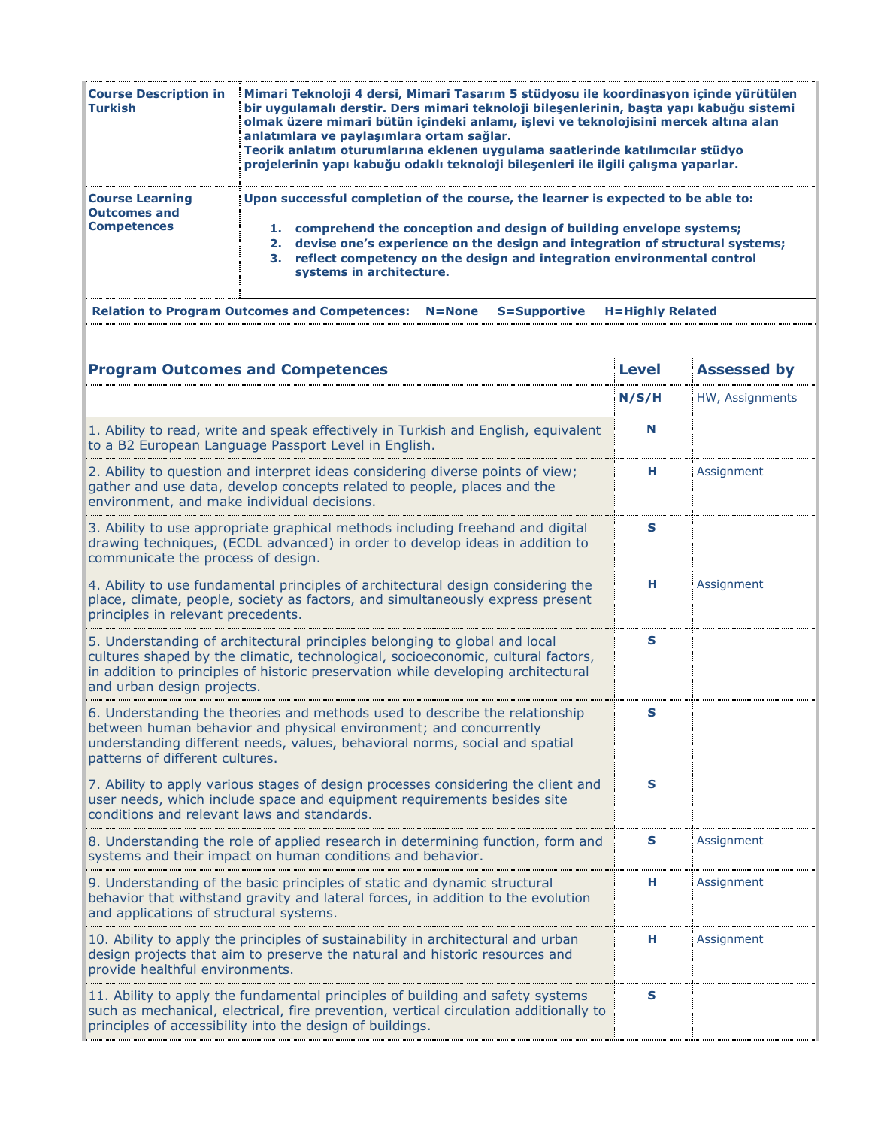| <b>Course Description in</b><br><b>Turkish</b>                      | Mimari Teknoloji 4 dersi, Mimari Tasarım 5 stüdyosu ile koordinasyon içinde yürütülen<br>bir uygulamalı derstir. Ders mimari teknoloji bileşenlerinin, başta yapı kabuğu sistemi<br>olmak üzere mimari bütün içindeki anlamı, işlevi ve teknolojisini mercek altına alan<br>anlatımlara ve paylaşımlara ortam sağlar.<br>Teorik anlatım oturumlarına eklenen uygulama saatlerinde katılımcılar stüdyo<br>projelerinin yapı kabuğu odaklı teknoloji bilesenleri ile ilgili çalışma yaparlar. |
|---------------------------------------------------------------------|---------------------------------------------------------------------------------------------------------------------------------------------------------------------------------------------------------------------------------------------------------------------------------------------------------------------------------------------------------------------------------------------------------------------------------------------------------------------------------------------|
| <b>Course Learning</b><br><b>Outcomes and</b><br><b>Competences</b> | Upon successful completion of the course, the learner is expected to be able to:<br>1. comprehend the conception and design of building envelope systems;<br>2. devise one's experience on the design and integration of structural systems;<br>3. reflect competency on the design and integration environmental control<br>systems in architecture.                                                                                                                                       |
|                                                                     | <b>Relation to Program Outcomes and Competences: N=None</b><br><b>H=Highly Related</b><br>S=Supportive                                                                                                                                                                                                                                                                                                                                                                                      |

| <b>Program Outcomes and Competences</b>                                                                                                                                                                                                                                           | <b>Level</b> | <b>Assessed by</b> |
|-----------------------------------------------------------------------------------------------------------------------------------------------------------------------------------------------------------------------------------------------------------------------------------|--------------|--------------------|
|                                                                                                                                                                                                                                                                                   | N/S/H        | HW, Assignments    |
| 1. Ability to read, write and speak effectively in Turkish and English, equivalent<br>to a B2 European Language Passport Level in English.                                                                                                                                        | N            |                    |
| 2. Ability to question and interpret ideas considering diverse points of view;<br>gather and use data, develop concepts related to people, places and the<br>environment, and make individual decisions.                                                                          | н.           | Assignment         |
| 3. Ability to use appropriate graphical methods including freehand and digital<br>drawing techniques, (ECDL advanced) in order to develop ideas in addition to<br>communicate the process of design.                                                                              | s            |                    |
| 4. Ability to use fundamental principles of architectural design considering the<br>place, climate, people, society as factors, and simultaneously express present<br>principles in relevant precedents.                                                                          | н            | Assignment         |
| 5. Understanding of architectural principles belonging to global and local<br>cultures shaped by the climatic, technological, socioeconomic, cultural factors,<br>in addition to principles of historic preservation while developing architectural<br>and urban design projects. | S            |                    |
| 6. Understanding the theories and methods used to describe the relationship<br>between human behavior and physical environment; and concurrently<br>understanding different needs, values, behavioral norms, social and spatial<br>patterns of different cultures.                | S            |                    |
| 7. Ability to apply various stages of design processes considering the client and<br>user needs, which include space and equipment requirements besides site<br>conditions and relevant laws and standards.                                                                       | S            |                    |
| 8. Understanding the role of applied research in determining function, form and<br>systems and their impact on human conditions and behavior.                                                                                                                                     | s            | Assignment         |
| 9. Understanding of the basic principles of static and dynamic structural<br>behavior that withstand gravity and lateral forces, in addition to the evolution<br>and applications of structural systems.                                                                          | н            | Assignment         |
| 10. Ability to apply the principles of sustainability in architectural and urban<br>design projects that aim to preserve the natural and historic resources and<br>provide healthful environments.                                                                                | н            | Assignment         |
| 11. Ability to apply the fundamental principles of building and safety systems<br>such as mechanical, electrical, fire prevention, vertical circulation additionally to<br>principles of accessibility into the design of buildings.                                              | S            |                    |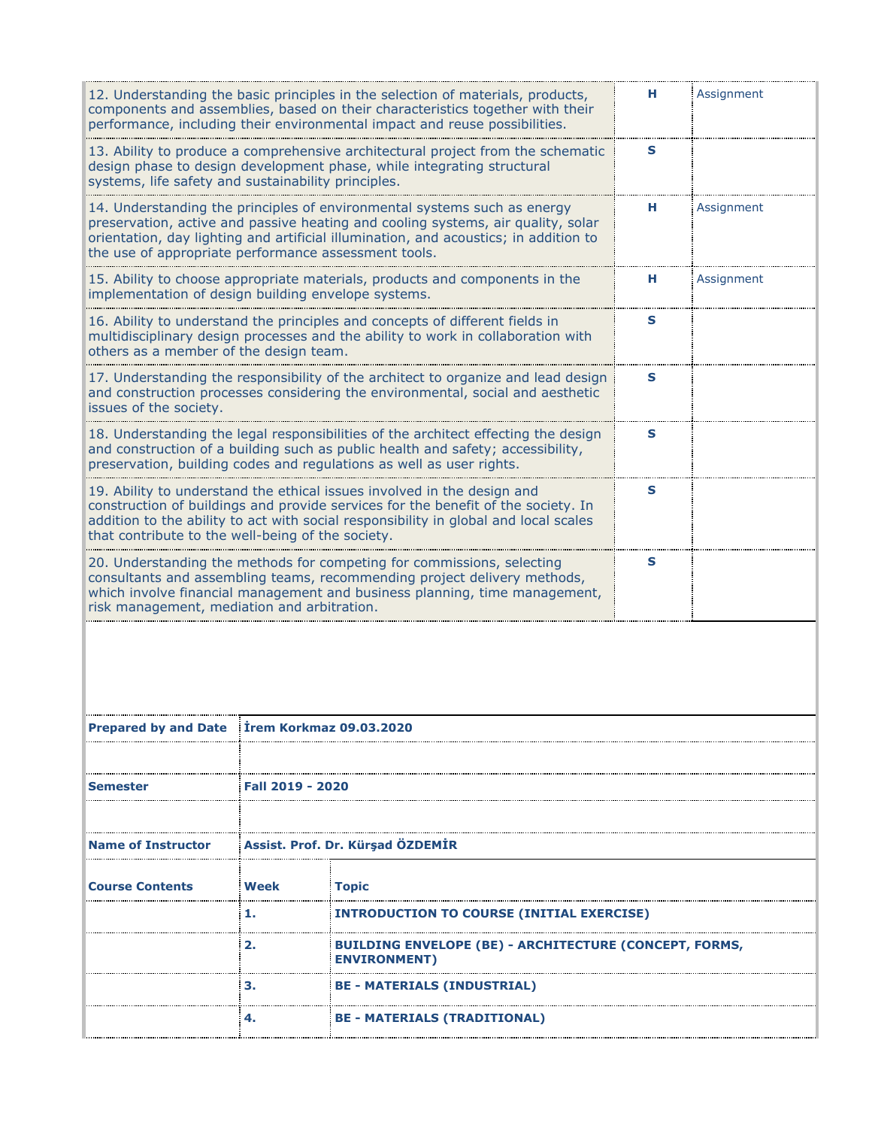|                                                      |                  | 12. Understanding the basic principles in the selection of materials, products,<br>components and assemblies, based on their characteristics together with their<br>performance, including their environmental impact and reuse possibilities.       | н. | Assignment |  |
|------------------------------------------------------|------------------|------------------------------------------------------------------------------------------------------------------------------------------------------------------------------------------------------------------------------------------------------|----|------------|--|
| systems, life safety and sustainability principles.  |                  | 13. Ability to produce a comprehensive architectural project from the schematic<br>design phase to design development phase, while integrating structural                                                                                            | S  |            |  |
| the use of appropriate performance assessment tools. |                  | 14. Understanding the principles of environmental systems such as energy<br>preservation, active and passive heating and cooling systems, air quality, solar<br>orientation, day lighting and artificial illumination, and acoustics; in addition to | н  | Assignment |  |
| implementation of design building envelope systems.  |                  | 15. Ability to choose appropriate materials, products and components in the                                                                                                                                                                          | н. | Assignment |  |
| others as a member of the design team.               |                  | 16. Ability to understand the principles and concepts of different fields in<br>multidisciplinary design processes and the ability to work in collaboration with                                                                                     | s  |            |  |
| issues of the society.                               |                  | 17. Understanding the responsibility of the architect to organize and lead design<br>and construction processes considering the environmental, social and aesthetic                                                                                  | S  |            |  |
|                                                      |                  | 18. Understanding the legal responsibilities of the architect effecting the design<br>and construction of a building such as public health and safety; accessibility,<br>preservation, building codes and regulations as well as user rights.        | S  |            |  |
| that contribute to the well-being of the society.    |                  | 19. Ability to understand the ethical issues involved in the design and<br>construction of buildings and provide services for the benefit of the society. In<br>addition to the ability to act with social responsibility in global and local scales | s  |            |  |
| risk management, mediation and arbitration.          |                  | 20. Understanding the methods for competing for commissions, selecting<br>consultants and assembling teams, recommending project delivery methods,<br>which involve financial management and business planning, time management,                     | s  |            |  |
|                                                      |                  |                                                                                                                                                                                                                                                      |    |            |  |
| Prepared by and Date Irem Korkmaz 09.03.2020         |                  |                                                                                                                                                                                                                                                      |    |            |  |
| Semester                                             | Faii 2019 - 2020 |                                                                                                                                                                                                                                                      |    |            |  |
|                                                      |                  |                                                                                                                                                                                                                                                      |    |            |  |
| <b>Name of Instructor</b>                            |                  | Assist. Prof. Dr. Kürşad ÖZDEMİR                                                                                                                                                                                                                     |    |            |  |
| <b>Course Contents</b>                               | Week             | <b>Topic</b>                                                                                                                                                                                                                                         |    |            |  |
|                                                      | 1.               | <b>INTRODUCTION TO COURSE (INITIAL EXERCISE)</b>                                                                                                                                                                                                     |    |            |  |
|                                                      | 2.               | <b>BUILDING ENVELOPE (BE) - ARCHITECTURE (CONCEPT, FORMS,</b><br><b>ENVIRONMENT)</b>                                                                                                                                                                 |    |            |  |
|                                                      | з.               | <b>BE - MATERIALS (INDUSTRIAL)</b>                                                                                                                                                                                                                   |    |            |  |
|                                                      | 4.               | <b>BE - MATERIALS (TRADITIONAL)</b>                                                                                                                                                                                                                  |    |            |  |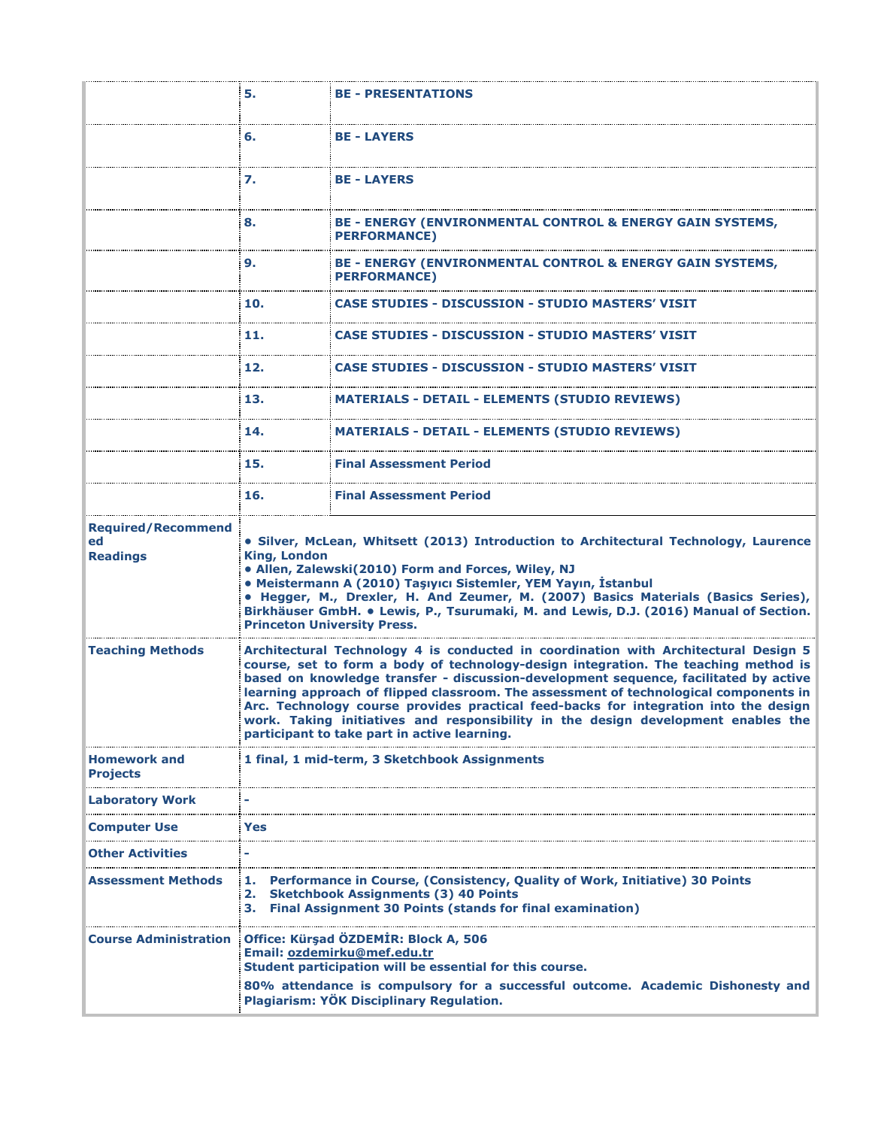|                                                    | 5.                  | <b>BE - PRESENTATIONS</b>                                                                                                                                                                                                                                                                                                                                                                                                                                                                                                                                                                |
|----------------------------------------------------|---------------------|------------------------------------------------------------------------------------------------------------------------------------------------------------------------------------------------------------------------------------------------------------------------------------------------------------------------------------------------------------------------------------------------------------------------------------------------------------------------------------------------------------------------------------------------------------------------------------------|
|                                                    | 6.                  | <b>BE-LAYERS</b>                                                                                                                                                                                                                                                                                                                                                                                                                                                                                                                                                                         |
|                                                    | 7.                  | <b>BE - LAYERS</b>                                                                                                                                                                                                                                                                                                                                                                                                                                                                                                                                                                       |
|                                                    | 8.                  | BE - ENERGY (ENVIRONMENTAL CONTROL & ENERGY GAIN SYSTEMS,<br><b>PERFORMANCE)</b>                                                                                                                                                                                                                                                                                                                                                                                                                                                                                                         |
|                                                    | 9.                  | BE - ENERGY (ENVIRONMENTAL CONTROL & ENERGY GAIN SYSTEMS,<br><b>PERFORMANCE)</b>                                                                                                                                                                                                                                                                                                                                                                                                                                                                                                         |
|                                                    | 10.                 | <b>CASE STUDIES - DISCUSSION - STUDIO MASTERS' VISIT</b>                                                                                                                                                                                                                                                                                                                                                                                                                                                                                                                                 |
|                                                    | 11.                 | <b>CASE STUDIES - DISCUSSION - STUDIO MASTERS' VISIT</b>                                                                                                                                                                                                                                                                                                                                                                                                                                                                                                                                 |
|                                                    | 12.                 | CASE STUDIES - DISCUSSION - STUDIO MASTERS' VISIT                                                                                                                                                                                                                                                                                                                                                                                                                                                                                                                                        |
|                                                    | 13.                 | <b>MATERIALS - DETAIL - ELEMENTS (STUDIO REVIEWS)</b>                                                                                                                                                                                                                                                                                                                                                                                                                                                                                                                                    |
|                                                    | 14.                 | <b>MATERIALS - DETAIL - ELEMENTS (STUDIO REVIEWS)</b>                                                                                                                                                                                                                                                                                                                                                                                                                                                                                                                                    |
|                                                    | 15.                 | <b>Final Assessment Period</b>                                                                                                                                                                                                                                                                                                                                                                                                                                                                                                                                                           |
|                                                    | 16.                 | <b>Final Assessment Period</b>                                                                                                                                                                                                                                                                                                                                                                                                                                                                                                                                                           |
| <b>Required/Recommend</b><br>ed<br><b>Readings</b> | <b>King, London</b> | • Silver, McLean, Whitsett (2013) Introduction to Architectural Technology, Laurence<br>• Allen, Zalewski(2010) Form and Forces, Wiley, NJ<br>• Meistermann A (2010) Taşıyıcı Sistemler, YEM Yayın, İstanbul<br>• Hegger, M., Drexler, H. And Zeumer, M. (2007) Basics Materials (Basics Series),<br>Birkhäuser GmbH. • Lewis, P., Tsurumaki, M. and Lewis, D.J. (2016) Manual of Section.<br><b>Princeton University Press.</b>                                                                                                                                                         |
| <b>Teaching Methods</b>                            |                     | Architectural Technology 4 is conducted in coordination with Architectural Design 5<br>course, set to form a body of technology-design integration. The teaching method is<br>based on knowledge transfer - discussion-development sequence, facilitated by active<br>learning approach of flipped classroom. The assessment of technological components in<br>Arc. Technology course provides practical feed-backs for integration into the design<br>work. Taking initiatives and responsibility in the design development enables the<br>participant to take part in active learning. |
| <b>Homework and</b><br><b>Projects</b>             |                     | 1 final, 1 mid-term, 3 Sketchbook Assignments                                                                                                                                                                                                                                                                                                                                                                                                                                                                                                                                            |
| <b>Laboratory Work</b>                             |                     |                                                                                                                                                                                                                                                                                                                                                                                                                                                                                                                                                                                          |
| <b>Computer Use</b>                                | Yes                 |                                                                                                                                                                                                                                                                                                                                                                                                                                                                                                                                                                                          |
| Other Activities                                   |                     |                                                                                                                                                                                                                                                                                                                                                                                                                                                                                                                                                                                          |
| Assessment Methods                                 | з.                  | 1. Performance in Course, (Consistency, Quality of Work, Initiative) 30 Points<br>2. Sketchbook Assignments (3) 40 Points<br><b>Final Assignment 30 Points (stands for final examination)</b>                                                                                                                                                                                                                                                                                                                                                                                            |
| <b>Course Administration</b>                       |                     | Office: Kürşad ÖZDEMİR: Block A, 506<br>Email: ozdemirku@mef.edu.tr<br>Student participation will be essential for this course.<br>80% attendance is compulsory for a successful outcome. Academic Dishonesty and                                                                                                                                                                                                                                                                                                                                                                        |
|                                                    |                     | Plagiarism: YÖK Disciplinary Regulation.                                                                                                                                                                                                                                                                                                                                                                                                                                                                                                                                                 |